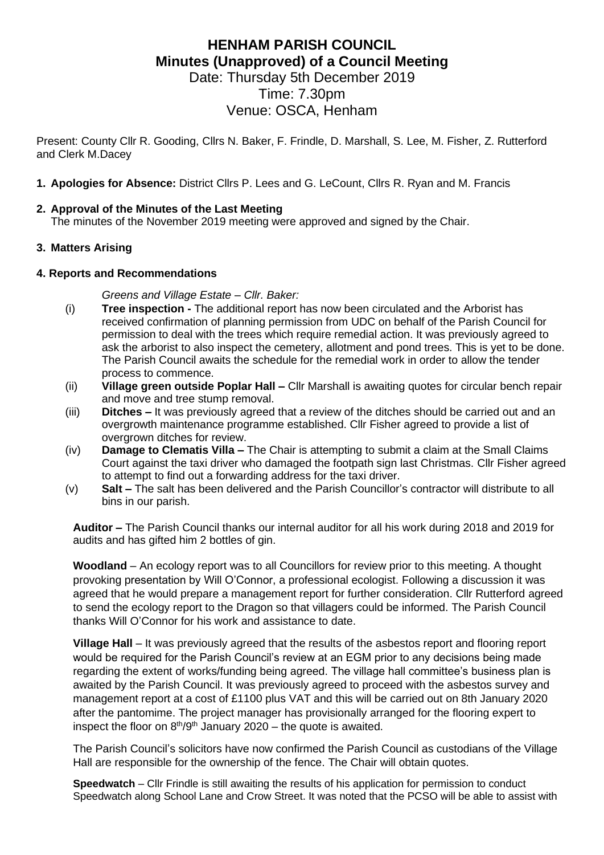# **HENHAM PARISH COUNCIL Minutes (Unapproved) of a Council Meeting**

Date: Thursday 5th December 2019 Time: 7.30pm Venue: OSCA, Henham

Present: County Cllr R. Gooding, Cllrs N. Baker, F. Frindle, D. Marshall, S. Lee, M. Fisher, Z. Rutterford and Clerk M.Dacey

**1. Apologies for Absence:** District Cllrs P. Lees and G. LeCount, Cllrs R. Ryan and M. Francis

### **2. Approval of the Minutes of the Last Meeting**

The minutes of the November 2019 meeting were approved and signed by the Chair.

#### **3. Matters Arising**

#### **4. Reports and Recommendations**

*Greens and Village Estate – Cllr. Baker:*

- (i) **Tree inspection -** The additional report has now been circulated and the Arborist has received confirmation of planning permission from UDC on behalf of the Parish Council for permission to deal with the trees which require remedial action. It was previously agreed to ask the arborist to also inspect the cemetery, allotment and pond trees. This is yet to be done. The Parish Council awaits the schedule for the remedial work in order to allow the tender process to commence.
- (ii) **Village green outside Poplar Hall –** Cllr Marshall is awaiting quotes for circular bench repair and move and tree stump removal.
- (iii) **Ditches –** It was previously agreed that a review of the ditches should be carried out and an overgrowth maintenance programme established. Cllr Fisher agreed to provide a list of overgrown ditches for review.
- (iv) **Damage to Clematis Villa –** The Chair is attempting to submit a claim at the Small Claims Court against the taxi driver who damaged the footpath sign last Christmas. Cllr Fisher agreed to attempt to find out a forwarding address for the taxi driver.
- (v) **Salt –** The salt has been delivered and the Parish Councillor's contractor will distribute to all bins in our parish.

**Auditor –** The Parish Council thanks our internal auditor for all his work during 2018 and 2019 for audits and has gifted him 2 bottles of gin.

**Woodland** – An ecology report was to all Councillors for review prior to this meeting. A thought provoking presentation by Will O'Connor, a professional ecologist. Following a discussion it was agreed that he would prepare a management report for further consideration. Cllr Rutterford agreed to send the ecology report to the Dragon so that villagers could be informed. The Parish Council thanks Will O'Connor for his work and assistance to date.

**Village Hall** – It was previously agreed that the results of the asbestos report and flooring report would be required for the Parish Council's review at an EGM prior to any decisions being made regarding the extent of works/funding being agreed. The village hall committee's business plan is awaited by the Parish Council. It was previously agreed to proceed with the asbestos survey and management report at a cost of £1100 plus VAT and this will be carried out on 8th January 2020 after the pantomime. The project manager has provisionally arranged for the flooring expert to inspect the floor on  $8<sup>th</sup>/9<sup>th</sup>$  January 2020 – the quote is awaited.

The Parish Council's solicitors have now confirmed the Parish Council as custodians of the Village Hall are responsible for the ownership of the fence. The Chair will obtain quotes.

**Speedwatch** – Cllr Frindle is still awaiting the results of his application for permission to conduct Speedwatch along School Lane and Crow Street. It was noted that the PCSO will be able to assist with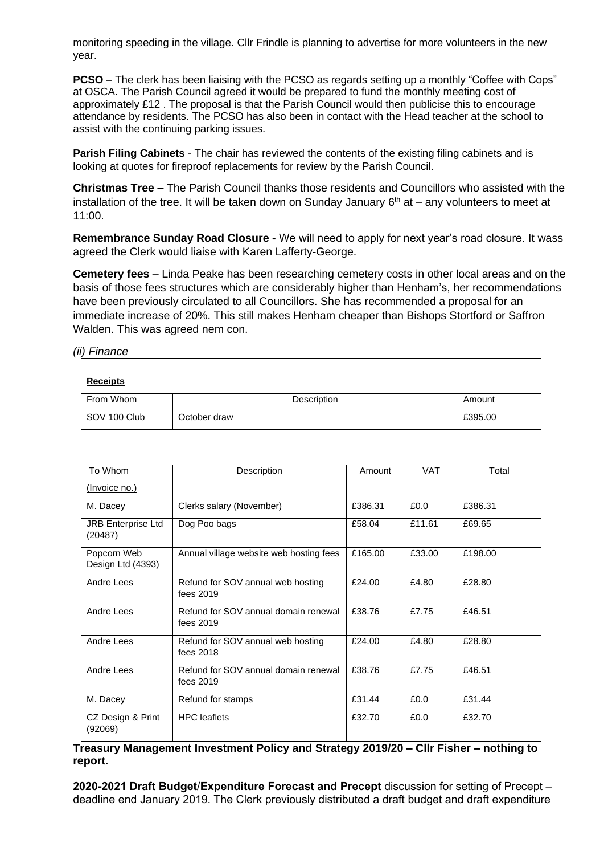monitoring speeding in the village. Cllr Frindle is planning to advertise for more volunteers in the new year.

**PCSO** – The clerk has been liaising with the PCSO as regards setting up a monthly "Coffee with Cops" at OSCA. The Parish Council agreed it would be prepared to fund the monthly meeting cost of approximately £12 . The proposal is that the Parish Council would then publicise this to encourage attendance by residents. The PCSO has also been in contact with the Head teacher at the school to assist with the continuing parking issues.

**Parish Filing Cabinets** - The chair has reviewed the contents of the existing filing cabinets and is looking at quotes for fireproof replacements for review by the Parish Council.

**Christmas Tree –** The Parish Council thanks those residents and Councillors who assisted with the installation of the tree. It will be taken down on Sunday January  $6<sup>th</sup>$  at – any volunteers to meet at 11:00.

**Remembrance Sunday Road Closure -** We will need to apply for next year's road closure. It wass agreed the Clerk would liaise with Karen Lafferty-George.

**Cemetery fees** – Linda Peake has been researching cemetery costs in other local areas and on the basis of those fees structures which are considerably higher than Henham's, her recommendations have been previously circulated to all Councillors. She has recommended a proposal for an immediate increase of 20%. This still makes Henham cheaper than Bishops Stortford or Saffron Walden. This was agreed nem con.

#### *(ii) Finance*

| <b>Receipts</b>                      |                                                   |         |        |         |
|--------------------------------------|---------------------------------------------------|---------|--------|---------|
| From Whom                            | Description                                       |         |        | Amount  |
| SOV 100 Club                         | October draw                                      |         |        | £395.00 |
|                                      |                                                   |         |        |         |
| To Whom                              | Description                                       | Amount  | VAT    | Total   |
| (Invoice no.)                        |                                                   |         |        |         |
| M. Dacey                             | Clerks salary (November)                          | £386.31 | £0.0   | £386.31 |
| <b>JRB Enterprise Ltd</b><br>(20487) | Dog Poo bags                                      | £58.04  | £11.61 | £69.65  |
| Popcorn Web<br>Design Ltd (4393)     | Annual village website web hosting fees           | £165.00 | £33.00 | £198.00 |
| <b>Andre Lees</b>                    | Refund for SOV annual web hosting<br>fees 2019    | £24.00  | £4.80  | £28.80  |
| Andre Lees                           | Refund for SOV annual domain renewal<br>fees 2019 | £38.76  | £7.75  | £46.51  |
| Andre Lees                           | Refund for SOV annual web hosting<br>fees 2018    | £24.00  | £4.80  | £28.80  |
| Andre Lees                           | Refund for SOV annual domain renewal<br>fees 2019 | £38.76  | £7.75  | £46.51  |
| M. Dacey                             | Refund for stamps                                 | £31.44  | £0.0   | £31.44  |
| CZ Design & Print<br>(92069)         | <b>HPC</b> leaflets                               | £32.70  | £0.0   | £32.70  |

**Treasury Management Investment Policy and Strategy 2019/20 – Cllr Fisher – nothing to report.**

**2020-2021 Draft Budget**/**Expenditure Forecast and Precept** discussion for setting of Precept – deadline end January 2019. The Clerk previously distributed a draft budget and draft expenditure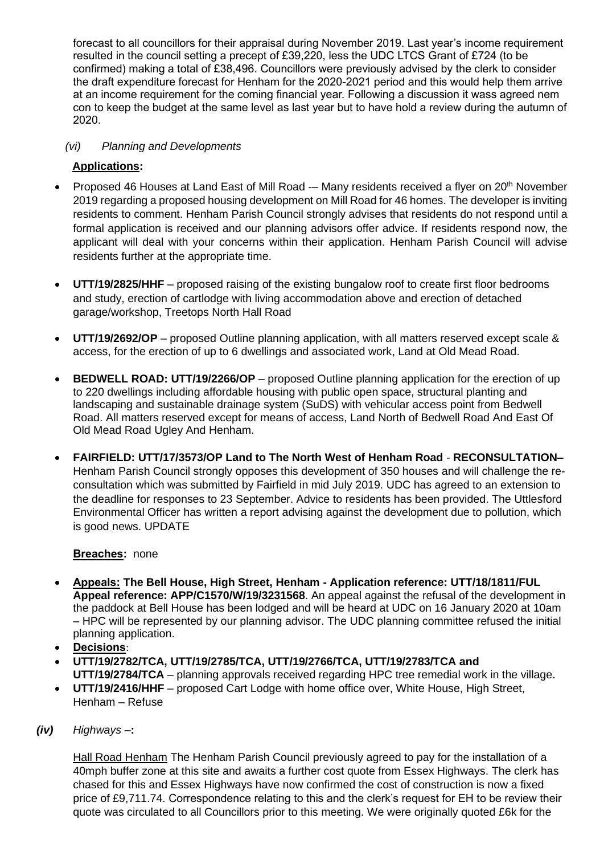forecast to all councillors for their appraisal during November 2019. Last year's income requirement resulted in the council setting a precept of £39,220, less the UDC LTCS Grant of £724 (to be confirmed) making a total of £38,496. Councillors were previously advised by the clerk to consider the draft expenditure forecast for Henham for the 2020-2021 period and this would help them arrive at an income requirement for the coming financial year. Following a discussion it wass agreed nem con to keep the budget at the same level as last year but to have hold a review during the autumn of 2020.

# *(vi) Planning and Developments*

# **Applications:**

- Proposed 46 Houses at Land East of Mill Road Many residents received a flyer on 20<sup>th</sup> November 2019 regarding a proposed housing development on Mill Road for 46 homes. The developer is inviting residents to comment. Henham Parish Council strongly advises that residents do not respond until a formal application is received and our planning advisors offer advice. If residents respond now, the applicant will deal with your concerns within their application. Henham Parish Council will advise residents further at the appropriate time.
- **UTT/19/2825/HHF** proposed raising of the existing bungalow roof to create first floor bedrooms and study, erection of cartlodge with living accommodation above and erection of detached garage/workshop, Treetops North Hall Road
- **UTT/19/2692/OP** proposed Outline planning application, with all matters reserved except scale & access, for the erection of up to 6 dwellings and associated work, Land at Old Mead Road.
- **BEDWELL ROAD: UTT/19/2266/OP** proposed Outline planning application for the erection of up to 220 dwellings including affordable housing with public open space, structural planting and landscaping and sustainable drainage system (SuDS) with vehicular access point from Bedwell Road. All matters reserved except for means of access, Land North of Bedwell Road And East Of Old Mead Road Ugley And Henham.
- **FAIRFIELD: UTT/17/3573/OP Land to The North West of Henham Road RECONSULTATION–** Henham Parish Council strongly opposes this development of 350 houses and will challenge the reconsultation which was submitted by Fairfield in mid July 2019. UDC has agreed to an extension to the deadline for responses to 23 September. Advice to residents has been provided. The Uttlesford Environmental Officer has written a report advising against the development due to pollution, which is good news. UPDATE

# **Breaches:** none

- **Appeals: The Bell House, High Street, Henham - Application reference: UTT/18/1811/FUL Appeal reference: APP/C1570/W/19/3231568**. An appeal against the refusal of the development in the paddock at Bell House has been lodged and will be heard at UDC on 16 January 2020 at 10am – HPC will be represented by our planning advisor. The UDC planning committee refused the initial planning application.
- **Decisions**:
- **UTT/19/2782/TCA, UTT/19/2785/TCA, UTT/19/2766/TCA, UTT/19/2783/TCA and UTT/19/2784/TCA** – planning approvals received regarding HPC tree remedial work in the village.
- **UTT/19/2416/HHF** proposed Cart Lodge with home office over, White House, High Street, Henham – Refuse
- *(iv) Highways –***:**

Hall Road Henham The Henham Parish Council previously agreed to pay for the installation of a 40mph buffer zone at this site and awaits a further cost quote from Essex Highways. The clerk has chased for this and Essex Highways have now confirmed the cost of construction is now a fixed price of £9,711.74. Correspondence relating to this and the clerk's request for EH to be review their quote was circulated to all Councillors prior to this meeting. We were originally quoted £6k for the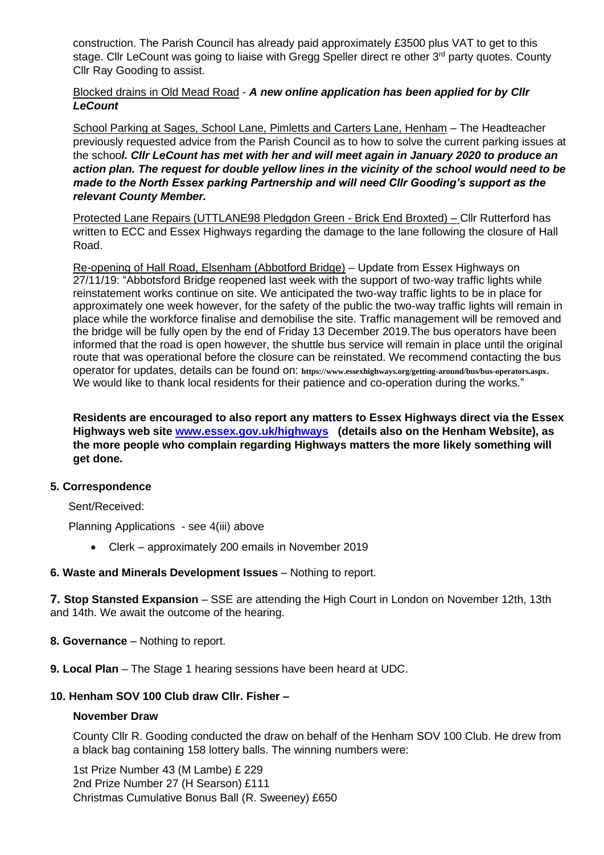construction. The Parish Council has already paid approximately £3500 plus VAT to get to this stage. Cllr LeCount was going to liaise with Gregg Speller direct re other 3<sup>rd</sup> party quotes. County Cllr Ray Gooding to assist.

### Blocked drains in Old Mead Road - *A new online application has been applied for by Cllr LeCount*

School Parking at Sages, School Lane, Pimletts and Carters Lane, Henham – The Headteacher previously requested advice from the Parish Council as to how to solve the current parking issues at the schoo*l. Cllr LeCount has met with her and will meet again in January 2020 to produce an action plan. The request for double yellow lines in the vicinity of the school would need to be made to the North Essex parking Partnership and will need Cllr Gooding's support as the relevant County Member.* 

Protected Lane Repairs (UTTLANE98 Pledgdon Green - Brick End Broxted) – Cllr Rutterford has written to ECC and Essex Highways regarding the damage to the lane following the closure of Hall Road.

Re-opening of Hall Road, Elsenham (Abbotford Bridge) – Update from Essex Highways on 27/11/19: "Abbotsford Bridge reopened last week with the support of two-way traffic lights while reinstatement works continue on site. We anticipated the two-way traffic lights to be in place for approximately one week however, for the safety of the public the two-way traffic lights will remain in place while the workforce finalise and demobilise the site. Traffic management will be removed and the bridge will be fully open by the end of Friday 13 December 2019.The bus operators have been informed that the road is open however, the shuttle bus service will remain in place until the original route that was operational before the closure can be reinstated. We recommend contacting the bus operator for updates, details can be found on: **<https://www.essexhighways.org/getting-around/bus/bus-operators.aspx>**. We would like to thank local residents for their patience and co-operation during the works."

**Residents are encouraged to also report any matters to Essex Highways direct via the Essex Highways web site [www.essex.gov.uk/highways](http://www.essex.gov.uk/highways) (details also on the Henham Website), as the more people who complain regarding Highways matters the more likely something will get done.**

#### **5. Correspondence**

Sent/Received:

Planning Applications - see 4(iii) above

• Clerk – approximately 200 emails in November 2019

# **6. Waste and Minerals Development Issues** – Nothing to report.

**7. Stop Stansted Expansion** – SSE are attending the High Court in London on November 12th, 13th and 14th. We await the outcome of the hearing.

- **8. Governance**  Nothing to report.
- **9. Local Plan** The Stage 1 hearing sessions have been heard at UDC.

# **10. Henham SOV 100 Club draw Cllr. Fisher –**

#### **November Draw**

County Cllr R. Gooding conducted the draw on behalf of the Henham SOV 100 Club. He drew from a black bag containing 158 lottery balls. The winning numbers were:

1st Prize Number 43 (M Lambe) £ 229 2nd Prize Number 27 (H Searson) £111 Christmas Cumulative Bonus Ball (R. Sweeney) £650